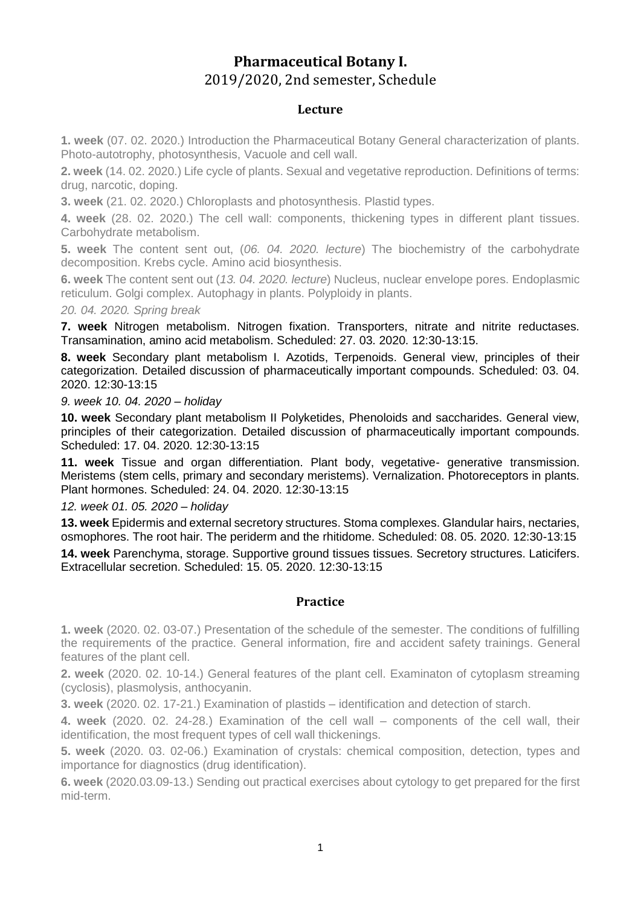## **Pharmaceutical Botany I.** 2019/2020, 2nd semester, Schedule

## **Lecture**

**1. week** (07. 02. 2020.) Introduction the Pharmaceutical Botany General characterization of plants. Photo-autotrophy, photosynthesis, Vacuole and cell wall.

**2. week** (14. 02. 2020.) Life cycle of plants. Sexual and vegetative reproduction. Definitions of terms: drug, narcotic, doping.

**3. week** (21. 02. 2020.) Chloroplasts and photosynthesis. Plastid types.

**4. week** (28. 02. 2020.) The cell wall: components, thickening types in different plant tissues. Carbohydrate metabolism.

**5. week** The content sent out, (*06. 04. 2020. lecture*) The biochemistry of the carbohydrate decomposition. Krebs cycle. Amino acid biosynthesis.

**6. week** The content sent out (*13. 04. 2020. lecture*) Nucleus, nuclear envelope pores. Endoplasmic reticulum. Golgi complex. Autophagy in plants. Polyploidy in plants.

*20. 04. 2020. Spring break*

**7. week** Nitrogen metabolism. Nitrogen fixation. Transporters, nitrate and nitrite reductases. Transamination, amino acid metabolism. Scheduled: 27. 03. 2020. 12:30-13:15.

**8. week** Secondary plant metabolism I. Azotids, Terpenoids. General view, principles of their categorization. Detailed discussion of pharmaceutically important compounds. Scheduled: 03. 04. 2020. 12:30-13:15

*9. week 10. 04. 2020 – holiday*

**10. week** Secondary plant metabolism II Polyketides, Phenoloids and saccharides. General view, principles of their categorization. Detailed discussion of pharmaceutically important compounds. Scheduled: 17. 04. 2020. 12:30-13:15

**11. week** Tissue and organ differentiation. Plant body, vegetative- generative transmission. Meristems (stem cells, primary and secondary meristems). Vernalization. Photoreceptors in plants. Plant hormones. Scheduled: 24. 04. 2020. 12:30-13:15

*12. week 01. 05. 2020 – holiday*

**13. week** Epidermis and external secretory structures. Stoma complexes. Glandular hairs, nectaries, osmophores. The root hair. The periderm and the rhitidome. Scheduled: 08. 05. 2020. 12:30-13:15

**14. week** Parenchyma, storage. Supportive ground tissues tissues. Secretory structures. Laticifers. Extracellular secretion. Scheduled: 15. 05. 2020. 12:30-13:15

## **Practice**

**1. week** (2020. 02. 03-07.) Presentation of the schedule of the semester. The conditions of fulfilling the requirements of the practice. General information, fire and accident safety trainings. General features of the plant cell.

**2. week** (2020. 02. 10-14.) General features of the plant cell. Examinaton of cytoplasm streaming (cyclosis), plasmolysis, anthocyanin.

**3. week** (2020. 02. 17-21.) Examination of plastids – identification and detection of starch.

**4. week** (2020. 02. 24-28.) Examination of the cell wall – components of the cell wall, their identification, the most frequent types of cell wall thickenings.

**5. week** (2020. 03. 02-06.) Examination of crystals: chemical composition, detection, types and importance for diagnostics (drug identification).

**6. week** (2020.03.09-13.) Sending out practical exercises about cytology to get prepared for the first mid-term.